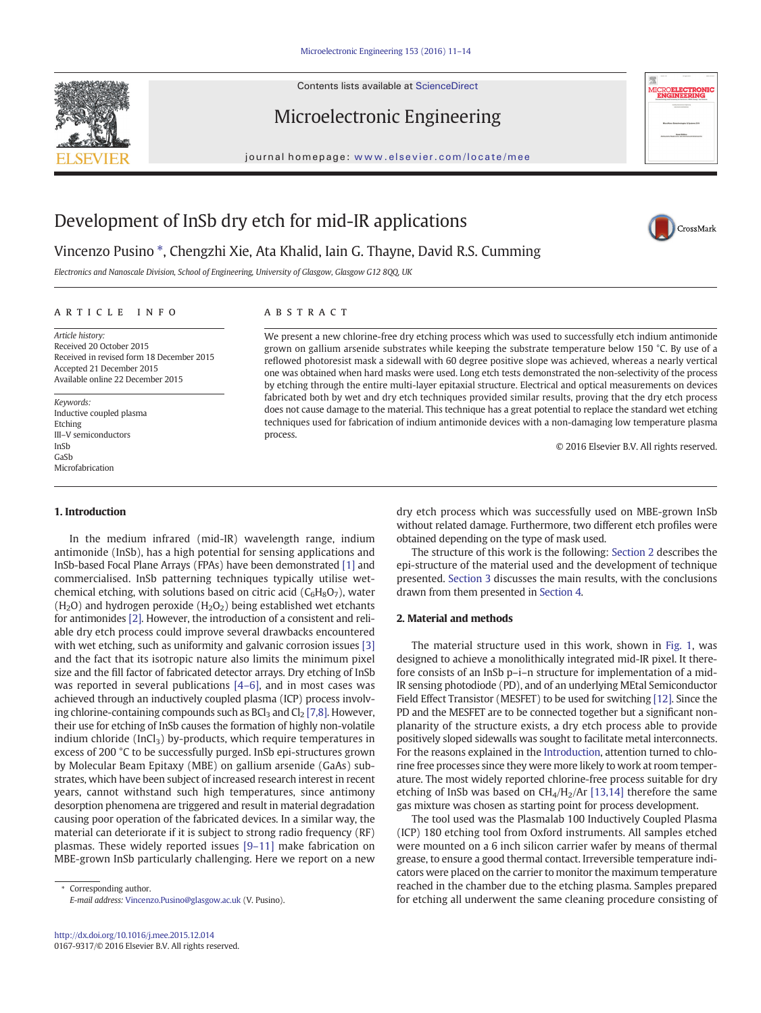Contents lists available at ScienceDirect

## Microelectronic Engineering

journal homepage: <www.elsevier.com/locate/mee>



CrossMark

# Development of InSb dry etch for mid-IR applications

## Vincenzo Pusino \*, Chengzhi Xie, Ata Khalid, Iain G. Thayne, David R.S. Cumming

Electronics and Nanoscale Division, School of Engineering, University of Glasgow, Glasgow G12 8QQ, UK

#### article info abstract

Article history: Received 20 October 2015 Received in revised form 18 December 2015 Accepted 21 December 2015 Available online 22 December 2015

Keywords: Inductive coupled plasma Etching III–V semiconductors InSb GaSb Microfabrication

#### 1. Introduction

### In the medium infrared (mid-IR) wavelength range, indium antimonide (InSb), has a high potential for sensing applications and InSb-based Focal Plane Arrays (FPAs) have been demonstrated [\[1\]](#page-3-0) and commercialised. InSb patterning techniques typically utilise wetchemical etching, with solutions based on citric acid  $(C_6H_8O_7)$ , water  $(H<sub>2</sub>O)$  and hydrogen peroxide  $(H<sub>2</sub>O<sub>2</sub>)$  being established wet etchants for antimonides [\[2\].](#page-3-0) However, the introduction of a consistent and reliable dry etch process could improve several drawbacks encountered with wet etching, such as uniformity and galvanic corrosion issues [\[3\]](#page-3-0) and the fact that its isotropic nature also limits the minimum pixel size and the fill factor of fabricated detector arrays. Dry etching of InSb was reported in several publications [4–[6\],](#page-3-0) and in most cases was achieved through an inductively coupled plasma (ICP) process involving chlorine-containing compounds such as  $BCl<sub>3</sub>$  and  $Cl<sub>2</sub> [7,8]$  $Cl<sub>2</sub> [7,8]$ . However, their use for etching of InSb causes the formation of highly non-volatile indium chloride (InCl<sub>3</sub>) by-products, which require temperatures in excess of 200 °C to be successfully purged. InSb epi-structures grown by Molecular Beam Epitaxy (MBE) on gallium arsenide (GaAs) substrates, which have been subject of increased research interest in recent years, cannot withstand such high temperatures, since antimony desorption phenomena are triggered and result in material degradation causing poor operation of the fabricated devices. In a similar way, the material can deteriorate if it is subject to strong radio frequency (RF) plasmas. These widely reported issues [9–[11\]](#page-3-0) make fabrication on MBE-grown InSb particularly challenging. Here we report on a new

Corresponding author. E-mail address: [Vincenzo.Pusino@glasgow.ac.uk](mailto:Vincenzo.Pusino@glasgow.ac.uk) (V. Pusino).

We present a new chlorine-free dry etching process which was used to successfully etch indium antimonide grown on gallium arsenide substrates while keeping the substrate temperature below 150 °C. By use of a reflowed photoresist mask a sidewall with 60 degree positive slope was achieved, whereas a nearly vertical one was obtained when hard masks were used. Long etch tests demonstrated the non-selectivity of the process by etching through the entire multi-layer epitaxial structure. Electrical and optical measurements on devices fabricated both by wet and dry etch techniques provided similar results, proving that the dry etch process does not cause damage to the material. This technique has a great potential to replace the standard wet etching techniques used for fabrication of indium antimonide devices with a non-damaging low temperature plasma process.

© 2016 Elsevier B.V. All rights reserved.

dry etch process which was successfully used on MBE-grown InSb without related damage. Furthermore, two different etch profiles were obtained depending on the type of mask used.

The structure of this work is the following: Section 2 describes the epi-structure of the material used and the development of technique presented. [Section 3](#page-1-0) discusses the main results, with the conclusions drawn from them presented in [Section 4.](#page-3-0)

#### 2. Material and methods

The material structure used in this work, shown in [Fig. 1,](#page-1-0) was designed to achieve a monolithically integrated mid-IR pixel. It therefore consists of an InSb p–i–n structure for implementation of a mid-IR sensing photodiode (PD), and of an underlying MEtal Semiconductor Field Effect Transistor (MESFET) to be used for switching [\[12\].](#page-3-0) Since the PD and the MESFET are to be connected together but a significant nonplanarity of the structure exists, a dry etch process able to provide positively sloped sidewalls was sought to facilitate metal interconnects. For the reasons explained in the Introduction, attention turned to chlorine free processes since they were more likely to work at room temperature. The most widely reported chlorine-free process suitable for dry etching of InSb was based on  $CH<sub>4</sub>/H<sub>2</sub>/Ar$  [\[13,14\]](#page-3-0) therefore the same gas mixture was chosen as starting point for process development.

The tool used was the Plasmalab 100 Inductively Coupled Plasma (ICP) 180 etching tool from Oxford instruments. All samples etched were mounted on a 6 inch silicon carrier wafer by means of thermal grease, to ensure a good thermal contact. Irreversible temperature indicators were placed on the carrier to monitor the maximum temperature reached in the chamber due to the etching plasma. Samples prepared for etching all underwent the same cleaning procedure consisting of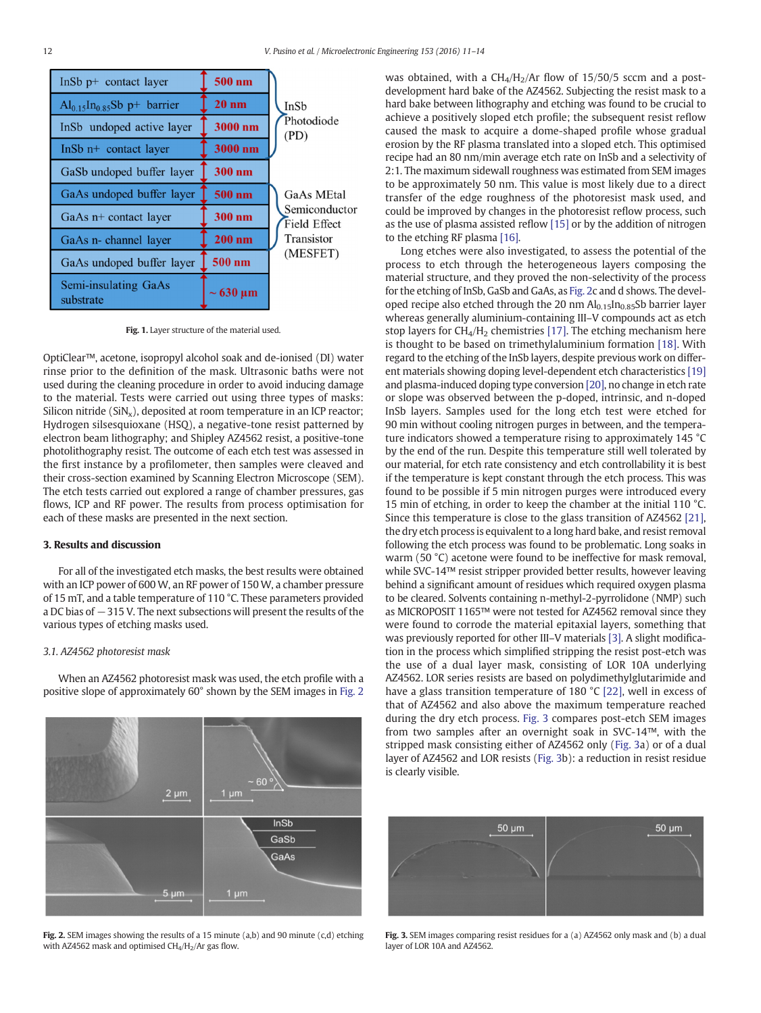<span id="page-1-0"></span>

| InSb $p+$ contact layer           | 500 nm        |                               |
|-----------------------------------|---------------|-------------------------------|
| $Al_{0.15}In_{0.85}Sb$ p+ barrier | $20$ nm       | InSb<br>Photodiode<br>(PD)    |
| InSb undoped active layer         | 3000 nm       |                               |
| InSb $n$ + contact layer          | 3000 nm       |                               |
| GaSb undoped buffer layer         | 300 nm        |                               |
| GaAs undoped buffer layer         | $500$ nm      | <b>GaAs MEtal</b>             |
| $GaAs$ n+ contact layer           | 300 nm        | Semiconductor<br>Field Effect |
| GaAs n- channel layer             | $200$ nm      | Transistor                    |
| GaAs undoped buffer layer         | 500 nm        | (MESFET)                      |
| Semi-insulating GaAs<br>substrate | $\sim$ 630 µm |                               |

Fig. 1. Layer structure of the material used.

OptiClear™, acetone, isopropyl alcohol soak and de-ionised (DI) water rinse prior to the definition of the mask. Ultrasonic baths were not used during the cleaning procedure in order to avoid inducing damage to the material. Tests were carried out using three types of masks: Silicon nitride  $(SiN_x)$ , deposited at room temperature in an ICP reactor; Hydrogen silsesquioxane (HSQ), a negative-tone resist patterned by electron beam lithography; and Shipley AZ4562 resist, a positive-tone photolithography resist. The outcome of each etch test was assessed in the first instance by a profilometer, then samples were cleaved and their cross-section examined by Scanning Electron Microscope (SEM). The etch tests carried out explored a range of chamber pressures, gas flows, ICP and RF power. The results from process optimisation for each of these masks are presented in the next section.

#### 3. Results and discussion

For all of the investigated etch masks, the best results were obtained with an ICP power of 600 W, an RF power of 150 W, a chamber pressure of 15 mT, and a table temperature of 110 °C. These parameters provided a DC bias of −315 V. The next subsections will present the results of the various types of etching masks used.

#### 3.1. AZ4562 photoresist mask

When an AZ4562 photoresist mask was used, the etch profile with a positive slope of approximately 60° shown by the SEM images in Fig. 2



Fig. 2. SEM images showing the results of a 15 minute (a,b) and 90 minute (c,d) etching with AZ4562 mask and optimised  $CH<sub>4</sub>/H<sub>2</sub>/Ar$  gas flow.

was obtained, with a  $CH_4/H_2/Ar$  flow of 15/50/5 sccm and a postdevelopment hard bake of the AZ4562. Subjecting the resist mask to a hard bake between lithography and etching was found to be crucial to achieve a positively sloped etch profile; the subsequent resist reflow caused the mask to acquire a dome-shaped profile whose gradual erosion by the RF plasma translated into a sloped etch. This optimised recipe had an 80 nm/min average etch rate on InSb and a selectivity of 2:1. The maximum sidewall roughness was estimated from SEM images to be approximately 50 nm. This value is most likely due to a direct transfer of the edge roughness of the photoresist mask used, and could be improved by changes in the photoresist reflow process, such as the use of plasma assisted reflow [\[15\]](#page-3-0) or by the addition of nitrogen to the etching RF plasma [\[16\].](#page-3-0)

Long etches were also investigated, to assess the potential of the process to etch through the heterogeneous layers composing the material structure, and they proved the non-selectivity of the process for the etching of InSb, GaSb and GaAs, as Fig. 2c and d shows. The developed recipe also etched through the 20 nm  $Al<sub>0.15</sub>ln<sub>0.85</sub>$ Sb barrier layer whereas generally aluminium-containing III–V compounds act as etch stop layers for  $CH_4/H_2$  chemistries [\[17\]](#page-3-0). The etching mechanism here is thought to be based on trimethylaluminium formation [\[18\].](#page-3-0) With regard to the etching of the InSb layers, despite previous work on different materials showing doping level-dependent etch characteristics [\[19\]](#page-3-0) and plasma-induced doping type conversion [\[20\],](#page-3-0) no change in etch rate or slope was observed between the p-doped, intrinsic, and n-doped InSb layers. Samples used for the long etch test were etched for 90 min without cooling nitrogen purges in between, and the temperature indicators showed a temperature rising to approximately 145 °C by the end of the run. Despite this temperature still well tolerated by our material, for etch rate consistency and etch controllability it is best if the temperature is kept constant through the etch process. This was found to be possible if 5 min nitrogen purges were introduced every 15 min of etching, in order to keep the chamber at the initial 110 °C. Since this temperature is close to the glass transition of AZ4562 [\[21\],](#page-3-0) the dry etch process is equivalent to a long hard bake, and resist removal following the etch process was found to be problematic. Long soaks in warm (50 °C) acetone were found to be ineffective for mask removal, while SVC-14™ resist stripper provided better results, however leaving behind a significant amount of residues which required oxygen plasma to be cleared. Solvents containing n-methyl-2-pyrrolidone (NMP) such as MICROPOSIT 1165™ were not tested for AZ4562 removal since they were found to corrode the material epitaxial layers, something that was previously reported for other III–V materials [\[3\]](#page-3-0). A slight modification in the process which simplified stripping the resist post-etch was the use of a dual layer mask, consisting of LOR 10A underlying AZ4562. LOR series resists are based on polydimethylglutarimide and have a glass transition temperature of 180 °C [\[22\]](#page-3-0), well in excess of that of AZ4562 and also above the maximum temperature reached during the dry etch process. Fig. 3 compares post-etch SEM images from two samples after an overnight soak in SVC-14™, with the stripped mask consisting either of AZ4562 only (Fig. 3a) or of a dual layer of AZ4562 and LOR resists (Fig. 3b): a reduction in resist residue is clearly visible.



Fig. 3. SEM images comparing resist residues for a (a) AZ4562 only mask and (b) a dual layer of LOR 10A and AZ4562.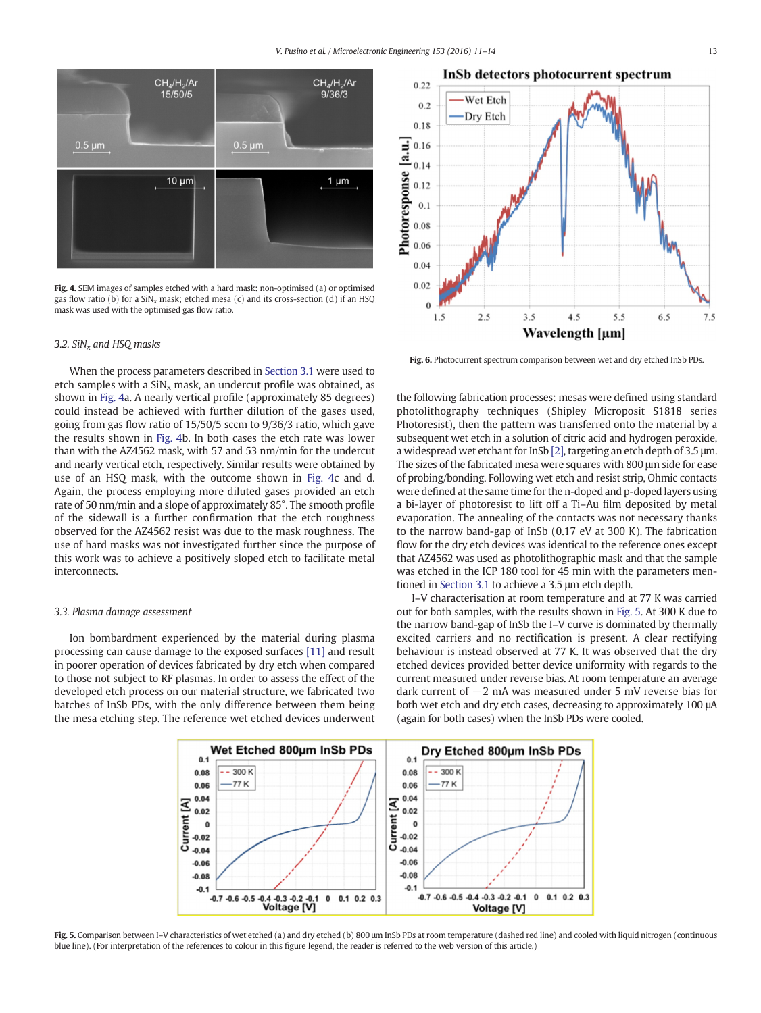<span id="page-2-0"></span>

Fig. 4. SEM images of samples etched with a hard mask: non-optimised (a) or optimised gas flow ratio (b) for a  $\text{SiN}_x$  mask; etched mesa (c) and its cross-section (d) if an HSQ mask was used with the optimised gas flow ratio.

#### 3.2. SiN<sub>x</sub> and HSO masks

When the process parameters described in [Section 3.1](#page-1-0) were used to etch samples with a  $\text{SiN}_x$  mask, an undercut profile was obtained, as shown in Fig. 4a. A nearly vertical profile (approximately 85 degrees) could instead be achieved with further dilution of the gases used, going from gas flow ratio of 15/50/5 sccm to 9/36/3 ratio, which gave the results shown in Fig. 4b. In both cases the etch rate was lower than with the AZ4562 mask, with 57 and 53 nm/min for the undercut and nearly vertical etch, respectively. Similar results were obtained by use of an HSQ mask, with the outcome shown in Fig. 4c and d. Again, the process employing more diluted gases provided an etch rate of 50 nm/min and a slope of approximately 85°. The smooth profile of the sidewall is a further confirmation that the etch roughness observed for the AZ4562 resist was due to the mask roughness. The use of hard masks was not investigated further since the purpose of this work was to achieve a positively sloped etch to facilitate metal interconnects.

#### 3.3. Plasma damage assessment

Ion bombardment experienced by the material during plasma processing can cause damage to the exposed surfaces [\[11\]](#page-3-0) and result in poorer operation of devices fabricated by dry etch when compared to those not subject to RF plasmas. In order to assess the effect of the developed etch process on our material structure, we fabricated two batches of InSb PDs, with the only difference between them being the mesa etching step. The reference wet etched devices underwent



Fig. 6. Photocurrent spectrum comparison between wet and dry etched InSb PDs.

the following fabrication processes: mesas were defined using standard photolithography techniques (Shipley Microposit S1818 series Photoresist), then the pattern was transferred onto the material by a subsequent wet etch in a solution of citric acid and hydrogen peroxide, a widespread wet etchant for InSb [\[2\]](#page-3-0), targeting an etch depth of 3.5 μm. The sizes of the fabricated mesa were squares with 800 μm side for ease of probing/bonding. Following wet etch and resist strip, Ohmic contacts were defined at the same time for the n-doped and p-doped layers using a bi-layer of photoresist to lift off a Ti–Au film deposited by metal evaporation. The annealing of the contacts was not necessary thanks to the narrow band-gap of InSb (0.17 eV at 300 K). The fabrication flow for the dry etch devices was identical to the reference ones except that AZ4562 was used as photolithographic mask and that the sample was etched in the ICP 180 tool for 45 min with the parameters mentioned in [Section 3.1](#page-1-0) to achieve a 3.5 μm etch depth.

I–V characterisation at room temperature and at 77 K was carried out for both samples, with the results shown in Fig. 5. At 300 K due to the narrow band-gap of InSb the I–V curve is dominated by thermally excited carriers and no rectification is present. A clear rectifying behaviour is instead observed at 77 K. It was observed that the dry etched devices provided better device uniformity with regards to the current measured under reverse bias. At room temperature an average dark current of −2 mA was measured under 5 mV reverse bias for both wet etch and dry etch cases, decreasing to approximately 100 μA (again for both cases) when the InSb PDs were cooled.



Fig. 5. Comparison between I-V characteristics of wet etched (a) and dry etched (b) 800 μm InSb PDs at room temperature (dashed red line) and cooled with liquid nitrogen (continuous blue line). (For interpretation of the references to colour in this figure legend, the reader is referred to the web version of this article.)